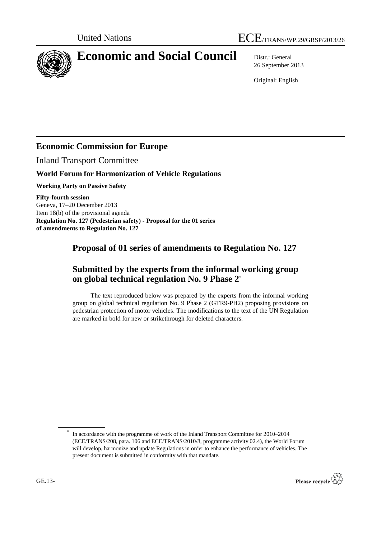

# **Economic and Social Council** Distr.: General

26 September 2013

Original: English

# **Economic Commission for Europe**

Inland Transport Committee

## **World Forum for Harmonization of Vehicle Regulations**

**Working Party on Passive Safety**

**Fifty-fourth session** Geneva, 17–20 December 2013 Item 18(b) of the provisional agenda **Regulation No. 127 (Pedestrian safety) - Proposal for the 01 series of amendments to Regulation No. 127**

# **Proposal of 01 series of amendments to Regulation No. 127**

# **Submitted by the experts from the informal working group on global technical regulation No. 9 Phase 2**\*

The text reproduced below was prepared by the experts from the informal working group on global technical regulation No. 9 Phase 2 (GTR9-PH2) proposing provisions on pedestrian protection of motor vehicles. The modifications to the text of the UN Regulation are marked in bold for new or strikethrough for deleted characters.

<sup>\*</sup> In accordance with the programme of work of the Inland Transport Committee for 2010–2014 (ECE/TRANS/208, para. 106 and ECE/TRANS/2010/8, programme activity 02.4), the World Forum will develop, harmonize and update Regulations in order to enhance the performance of vehicles. The present document is submitted in conformity with that mandate.

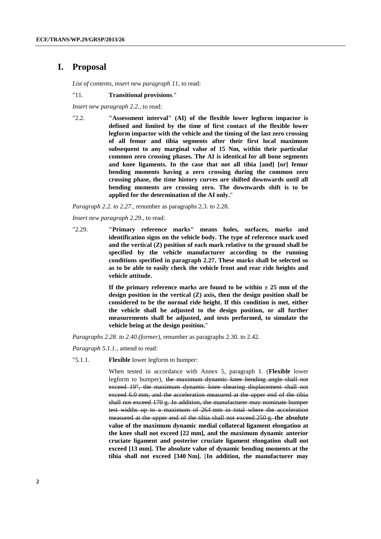### **I. Proposal**

*List of contents, insert new paragraph 11,* to read:

#### "11. **Transitional provisions**."

*Insert new paragraph 2.2.,* to read:

"2.2. **"Assessment interval" (AI) of the flexible lower legform impactor is defined and limited by the time of first contact of the flexible lower legform impactor with the vehicle and the timing of the last zero crossing of all femur and tibia segments after their first local maximum subsequent to any marginal value of 15 Nm, within their particular common zero crossing phases. The AI is identical for all bone segments and knee ligaments. In the case that not all tibia [and] [or] femur bending moments having a zero crossing during the common zero crossing phase, the time history curves are shifted downwards until all bending moments are crossing zero. The downwards shift is to be applied for the determination of the AI only.**"

*Paragraph 2.2. to 2.27*., renumber as paragraphs 2.3. to 2.28.

*Insert new paragraph 2.29.,* to read:

"2.29. **"Primary reference marks" means holes, surfaces, marks and identification signs on the vehicle body. The type of reference mark used and the vertical (Z) position of each mark relative to the ground shall be specified by the vehicle manufacturer according to the running conditions specified in paragraph 2.27. These marks shall be selected so as to be able to easily check the vehicle front and rear ride heights and vehicle attitude.** 

> If the primary reference marks are found to be within  $\pm 25$  mm of the **design position in the vertical (Z) axis, then the design position shall be considered to be the normal ride height. If this condition is met, either the vehicle shall be adjusted to the design position, or all further measurements shall be adjusted, and tests performed, to simulate the vehicle being at the design position.**"

*Paragraphs 2.28. to 2.40.(former),* renumber as paragraphs 2.30. to 2.42.

*Paragraph 5.1.1.,* amend to read:

"5.1.1. **Flexible** lower legform to bumper:

When tested in accordance with Annex 5, paragraph 1. (**Flexible** lower legform to bumper), the maximum dynamic knee bending angle shall not exceed 19°, the maximum dynamic knee shearing displacement shall not exceed 6.0 mm, and the acceleration measured at the upper end of the tibia shall not exceed 170 g. In addition, the manufacturer may nominate bumper test widths up to a maximum of 264 mm in total where the acceleration measured at the upper end of the tibia shall not exceed 250 g. **the absolute value of the maximum dynamic medial collateral ligament elongation at the knee shall not exceed [22 mm], and the maximum dynamic anterior cruciate ligament and posterior cruciate ligament elongation shall not exceed [13 mm]. The absolute value of dynamic bending moments at the tibia shall not exceed [340 Nm].** [**In addition, the manufacturer may**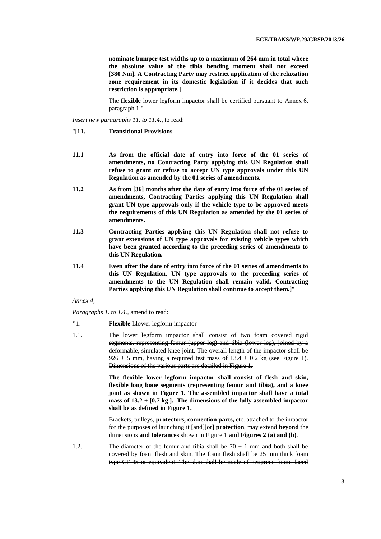**nominate bumper test widths up to a maximum of 264 mm in total where the absolute value of the tibia bending moment shall not exceed [380 Nm]. A Contracting Party may restrict application of the relaxation zone requirement in its domestic legislation if it decides that such restriction is appropriate.]**

The **flexible** lower legform impactor shall be certified pursuant to Annex 6, paragraph 1."

*Insert new paragraphs 11. to 11.4.,* to read:

- "**[11. Transitional Provisions**
- **11.1 As from the official date of entry into force of the 01 series of amendments, no Contracting Party applying this UN Regulation shall refuse to grant or refuse to accept UN type approvals under this UN Regulation as amended by the 01 series of amendments.**
- **11.2 As from [36] months after the date of entry into force of the 01 series of amendments, Contracting Parties applying this UN Regulation shall grant UN type approvals only if the vehicle type to be approved meets the requirements of this UN Regulation as amended by the 01 series of amendments.**
- **11.3 Contracting Parties applying this UN Regulation shall not refuse to grant extensions of UN type approvals for existing vehicle types which have been granted according to the preceding series of amendments to this UN Regulation.**
- **11.4 Even after the date of entry into force of the 01 series of amendments to this UN Regulation, UN type approvals to the preceding series of amendments to the UN Regulation shall remain valid. Contracting Parties applying this UN Regulation shall continue to accept them.]**"

#### *Annex 4,*

#### *Paragraphs 1. to 1.4.,* amend to read:

- **"**1. **Flexible** Llower legform impactor
- 1.1. The lower legform impactor shall consist of two foam covered rigid segments, representing femur (upper leg) and tibia (lower leg), joined by a deformable, simulated knee joint. The overall length of the impactor shall be 926  $\pm$  5 mm, having a required test mass of 13.4  $\pm$  0.2 kg (see Figure 1). Dimensions of the various parts are detailed in Figure 1.

**The flexible lower legform impactor shall consist of flesh and skin, flexible long bone segments (representing femur and tibia), and a knee joint as shown in Figure 1. The assembled impactor shall have a total mass of 13.2**  $\pm$  [0.7 **kg** ]. The dimensions of the fully assembled impactor **shall be as defined in Figure 1.** 

Brackets, pulleys, **protectors, connection parts,** etc. attached to the impactor for the purpose**s** of launching it [and][or] **protection**, may extend **beyond** the dimensions **and tolerances** shown in Figure 1 **and Figures 2 (a) and (b)**.

1.2. **The diameter of the femur and tibia shall be 70**  $\pm$  **1 mm and both shall be** covered by foam flesh and skin. The foam flesh shall be 25 mm thick foam type CF-45 or equivalent. The skin shall be made of neoprene foam, faced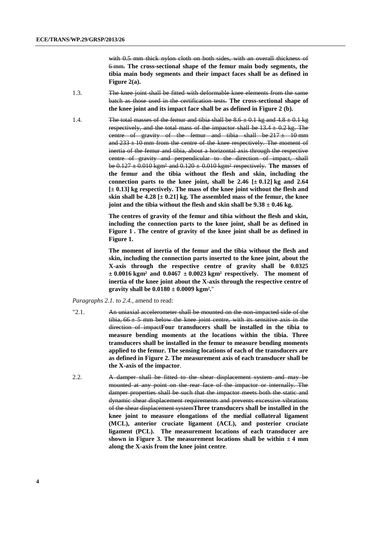with 0.5 mm thick nylon cloth on both sides, with an overall thickness of 6 mm. **The cross-sectional shape of the femur main body segments, the tibia main body segments and their impact faces shall be as defined in Figure 2(a).**

- 1.3. The knee joint shall be fitted with deformable knee elements from the same batch as those used in the certification tests. **The cross-sectional shape of the knee joint and its impact face shall be as defined in Figure 2 (b).**
- 1.4. The total masses of the femur and tibia shall be  $8.6 \pm 0.1$  kg and  $4.8 \pm 0.1$  kg respectively, and the total mass of the impactor shall be  $13.4 \pm 0.2$  kg. The centre of gravity of the femur and tibia shall be  $217 \pm 10$  mm and  $233 \pm 10$  mm from the centre of the knee respectively. The moment of inertia of the femur and tibia, about a horizontal axis through the respective centre of gravity and perpendicular to the direction of impact, shall be 0.127 ± 0.010 kgm² and 0.120 ± 0.010 kgm² respectively. **The masses of the femur and the tibia without the flesh and skin, including the connection parts to the knee joint, shall be 2.46**  $[\pm 0.12]$  **kg and 2.64 [± 0.13] kg respectively. The mass of the knee joint without the flesh and skin shall be 4.28 [± 0.21] kg. The assembled mass of the femur, the knee joint and the tibia without the flesh and skin shall be 9.38 ± 0.46 kg.**

**The centres of gravity of the femur and tibia without the flesh and skin, including the connection parts to the knee joint, shall be as defined in Figure 1 . The centre of gravity of the knee joint shall be as defined in Figure 1.** 

**The moment of inertia of the femur and the tibia without the flesh and skin, including the connection parts inserted to the knee joint, about the X-axis through the respective centre of gravity shall be 0.0325 ± 0.0016 kgm² and 0.0467 ± 0.0023 kgm² respectively. The moment of inertia of the knee joint about the X-axis through the respective centre of gravity shall be 0.0180 ± 0.0009 kgm².**"

*Paragraphs 2.1. to 2.4.,* amend to read:

- "2.1. An uniaxial accelerometer shall be mounted on the non-impacted side of the tibia,  $66 \pm 5$  mm below the knee joint centre, with its sensitive axis in the direction of impact**Four transducers shall be installed in the tibia to measure bending moments at the locations within the tibia. Three transducers shall be installed in the femur to measure bending moments applied to the femur. The sensing locations of each of the transducers are as defined in Figure 2. The measurement axis of each transducer shall be the X-axis of the impactor**.
- 2.2. A damper shall be fitted to the shear displacement system and may be mounted at any point on the rear face of the impactor or internally. The damper properties shall be such that the impactor meets both the static and dynamic shear displacement requirements and prevents excessive vibrations of the shear displacement system**Three transducers shall be installed in the knee joint to measure elongations of the medial collateral ligament (MCL), anterior cruciate ligament (ACL), and posterior cruciate ligament (PCL). The measurement locations of each transducer are**  shown in Figure 3. The measurement locations shall be within  $\pm 4$  mm **along the X-axis from the knee joint centre**.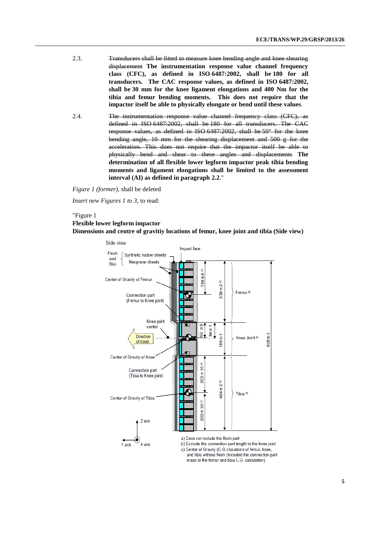- 2.3. Transducers shall be fitted to measure knee bending angle and knee shearing displacement **The instrumentation response value channel frequency class (CFC), as defined in ISO 6487:2002, shall be 180 for all transducers. The CAC response values, as defined in ISO 6487:2002, shall be 30 mm for the knee ligament elongations and 400 Nm for the tibia and femur bending moments. This does not require that the impactor itself be able to physically elongate or bend until these values**.
- 2.4. The instrumentation response value channel frequency class (CFC), as defined in ISO 6487:2002, shall be 180 for all transducers. The CAC response values, as defined in ISO 6487:2002, shall be 50° for the knee bending angle, 10 mm for the shearing displacement and 500 g for the acceleration. This does not require that the impactor itself be able to physically bend and shear to these angles and displacements **The determination of all flexible lower legform impactor peak tibia bending moments and ligament elongations shall be limited to the assessment interval (AI) as defined in paragraph 2.2**."

*Figure 1 (former),* shall be deleted

*Insert new Figures 1 to 3*, to read:

#### "Figure 1

#### **Flexible lower legform impactor Dimensions and centre of gravitiy locations of femur, knee joint and tibia (Side view)**



c) Center of Gravity (C.G.) locations of femur, knee, and tibia without flesh (Included the connection part mass to the femur and tibia C.G. calculation)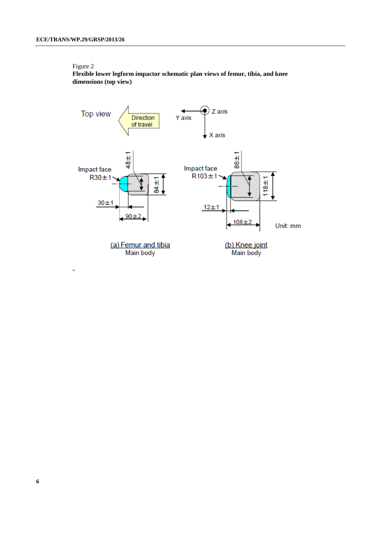**Flexible lower legform impactor schematic plan views of femur, tibia, and knee dimensions (top view)**

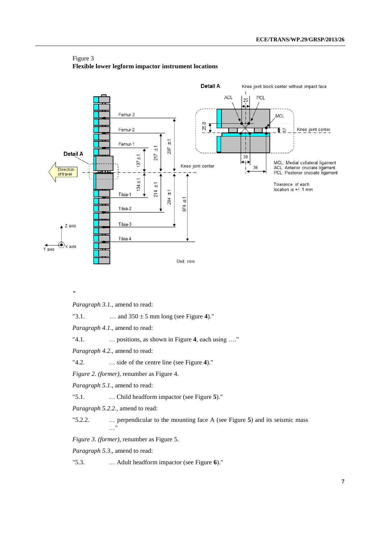

#### Figure 3 **Flexible lower legform impactor instrument locations**

**"**

*Paragraph 3.1.*, amend to read:

"3.1. ... and  $350 \pm 5$  mm long (see Figure 4)."

*Paragraph 4.1.*, amend to read:

"4.1. … positions, as shown in Figure **4**, each using …."

*Paragraph 4.2.*, amend to read:

"4.2. … side of the centre line (see Figure **4**)."

*Figure 2. (former),* renumber as Figure 4.

*Paragraph 5.1.*, amend to read:

"5.1. … Child headform impactor (see Figure **5**)."

*Paragraph 5.2.2.*, amend to read:

"5.2.2. … perpendicular to the mounting face A (see Figure **5**) and its seismic mass …"

*Figure 3. (former),* renumber as Figure 5.

*Paragraph 5.3.*, amend to read:

"5.3. … Adult headform impactor (see Figure **6**)."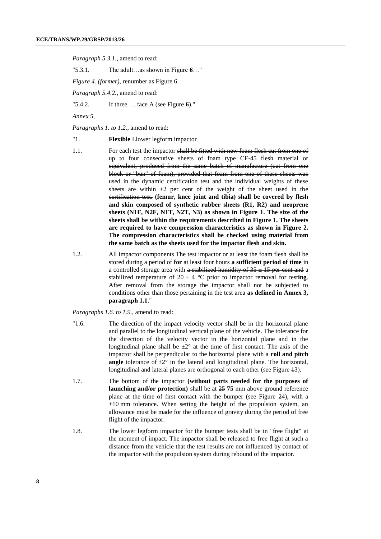*Paragraph 5.3.1.*, amend to read:

"5.3.1. The adult…as shown in Figure **6**…"

*Figure 4. (former),* renumber as Figure 6.

*Paragraph 5.4.2.*, amend to read:

"5.4.2. If three … face A (see Figure **6**)."

*Annex 5,* 

*Paragraphs 1. to 1.2.,* amend to read:

- "1. **Flexible** Llower legform impactor
- 1.1. For each test the impactor shall be fitted with new foam flesh cut from one of up to four consecutive sheets of foam type CF-45 flesh material or equivalent, produced from the same batch of manufacture (cut from one block or "bun" of foam), provided that foam from one of these sheets was used in the dynamic certification test and the individual weights of these sheets are within  $\pm 2$  per cent of the weight of the sheet used in the certification test. **(femur, knee joint and tibia) shall be covered by flesh and skin composed of synthetic rubber sheets (R1, R2) and neoprene sheets (N1F, N2F, N1T, N2T, N3) as shown in Figure 1. The size of the sheets shall be within the requirements described in Figure 1. The sheets are required to have compression characteristics as shown in Figure 2. The compression characteristics shall be checked using material from the same batch as the sheets used for the impactor flesh and skin.**
- 1.2. All impactor components The test impactor or at least the foam flesh shall be stored during a period of **for** at least four hours **a sufficient period of time** in a controlled storage area with a stabilized humidity of  $35 \pm 15$  per cent and a stabilized temperature of  $20 \pm 4$  °C prior to impactor removal for testing. After removal from the storage the impactor shall not be subjected to conditions other than those pertaining in the test area **as defined in Annex 3, paragraph 1.1**."

*Paragraphs 1.6. to 1.9.,* amend to read:

- "1.6. The direction of the impact velocity vector shall be in the horizontal plane and parallel to the longitudinal vertical plane of the vehicle. The tolerance for the direction of the velocity vector in the horizontal plane and in the longitudinal plane shall be  $\pm 2^{\circ}$  at the time of first contact. The axis of the impactor shall be perpendicular to the horizontal plane with a **roll and pitch angle** tolerance of  $\pm 2^{\circ}$  in the lateral and longitudinal plane. The horizontal, longitudinal and lateral planes are orthogonal to each other (see Figure 43).
- 1.7. The bottom of the impactor **(without parts needed for the purposes of launching and/or protection)** shall be at 25 **75** mm above ground reference plane at the time of first contact with the bumper (see Figure 24), with a  $\pm 10$  mm tolerance. When setting the height of the propulsion system, an allowance must be made for the influence of gravity during the period of free flight of the impactor.
- 1.8. The lower legform impactor for the bumper tests shall be in "free flight" at the moment of impact. The impactor shall be released to free flight at such a distance from the vehicle that the test results are not influenced by contact of the impactor with the propulsion system during rebound of the impactor.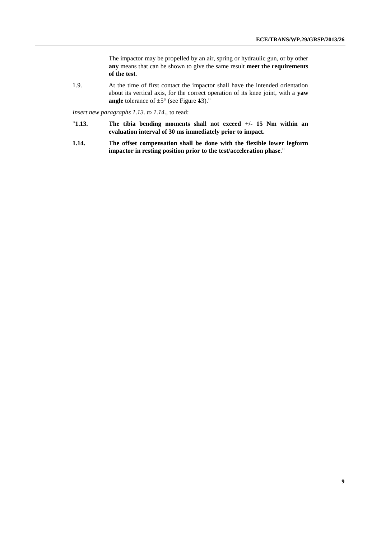The impactor may be propelled by an air, spring or hydraulic gun, or by other **any** means that can be shown to give the same result **meet the requirements of the test**.

1.9. At the time of first contact the impactor shall have the intended orientation about its vertical axis, for the correct operation of its knee joint, with a **yaw angle** tolerance of  $\pm 5^{\circ}$  (see Figure 43)."

*Insert new paragraphs 1.13. to 1.14.,* to read:

- "**1.13. The tibia bending moments shall not exceed +/- 15 Nm within an evaluation interval of 30 ms immediately prior to impact.**
- **1.14. The offset compensation shall be done with the flexible lower legform impactor in resting position prior to the test/acceleration phase**."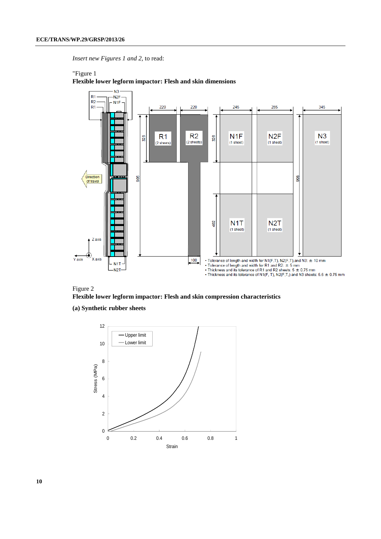*Insert new Figures 1 and 2,* to read:

#### "Figure 1



**Flexible lower legform impactor: Flesh and skin dimensions**



**(a) Synthetic rubber sheets**

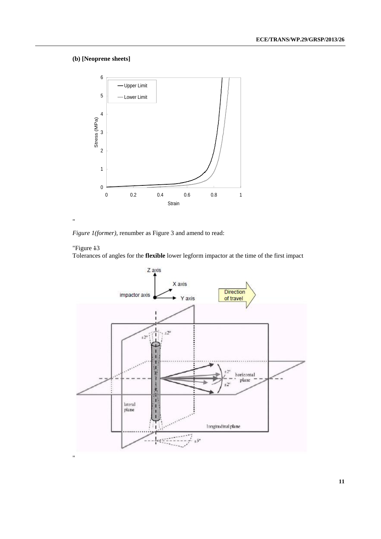### **(b) [Neoprene sheets]**



*Figure 1(former),* renumber as Figure 3 and amend to read:

### "Figure 13

"

Tolerances of angles for the **flexible** lower legform impactor at the time of the first impact

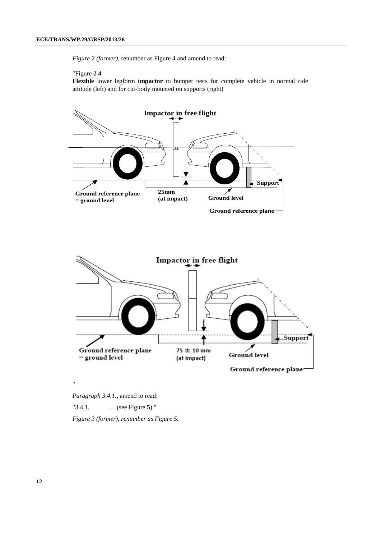*Figure 2 (former),* renumber as Figure 4 and amend to read:

#### "Figure 2 **4**

**Flexible** lower legform **impactor** to bumper tests for complete vehicle in normal ride attitude (left) and for cut-body mounted on supports (right)



Ground reference plane-

*Paragraph 3.4.1.*, amend to read:

"

"3.4.1. … (see Figure **5**)."

*Figure 3 (former), renumber as Figure 5.*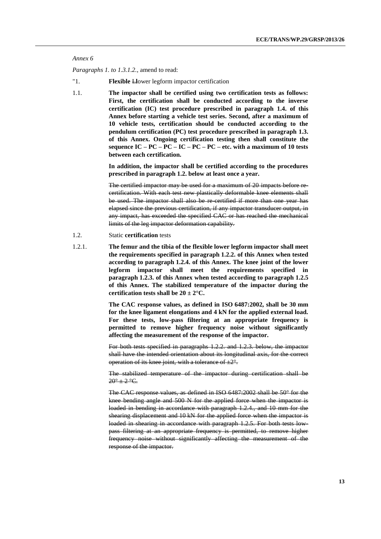```
Annex 6
```
*Paragraphs 1. to 1.3.1.2.*, amend to read:

"1. **Flexible** L**l**ower legform impactor certification

1.1. **The impactor shall be certified using two certification tests as follows: First, the certification shall be conducted according to the inverse certification (IC) test procedure prescribed in paragraph 1.4. of this Annex before starting a vehicle test series. Second, after a maximum of 10 vehicle tests, certification should be conducted according to the pendulum certification (PC) test procedure prescribed in paragraph 1.3. of this Annex. Ongoing certification testing then shall constitute the sequence IC – PC – PC – IC – PC – PC – etc. with a maximum of 10 tests between each certification.**

> **In addition, the impactor shall be certified according to the procedures prescribed in paragraph 1.2. below at least once a year.**

> The certified impactor may be used for a maximum of 20 impacts before recertification. With each test new plastically deformable knee elements shall be used. The impactor shall also be re-certified if more than one year has elapsed since the previous certification, if any impactor transducer output, in any impact, has exceeded the specified CAC or has reached the mechanical limits of the leg impactor deformation capability.

- 1.2. Static **certification** tests
- 1.2.1. **The femur and the tibia of the flexible lower legform impactor shall meet the requirements specified in paragraph 1.2.2. of this Annex when tested according to paragraph 1.2.4. of this Annex. The knee joint of the lower legform impactor shall meet the requirements specified in paragraph 1.2.3. of this Annex when tested according to paragraph 1.2.5 of this Annex. The stabilized temperature of the impactor during the certification tests shall be**  $20 \pm 2^{\circ}C$ **.**

**The CAC response values, as defined in ISO 6487:2002, shall be 30 mm for the knee ligament elongations and 4 kN for the applied external load. For these tests, low-pass filtering at an appropriate frequency is permitted to remove higher frequency noise without significantly affecting the measurement of the response of the impactor.**

For both tests specified in paragraphs 1.2.2. and 1.2.3. below, the impactor shall have the intended orientation about its longitudinal axis, for the correct operation of its knee joint, with a tolerance of  $\pm 2^{\circ}$ .

The stabilized temperature of the impactor during certification shall be  $20^{\circ}$   $\pm$  2 °C.

The CAC response values, as defined in ISO 6487:2002 shall be 50° for the knee bending angle and 500 N for the applied force when the impactor is loaded in bending in accordance with paragraph 1.2.4., and 10 mm for the shearing displacement and 10 kN for the applied force when the impactor is loaded in shearing in accordance with paragraph 1.2.5. For both tests lowpass filtering at an appropriate frequency is permitted, to remove higher frequency noise without significantly affecting the measurement of the response of the impactor.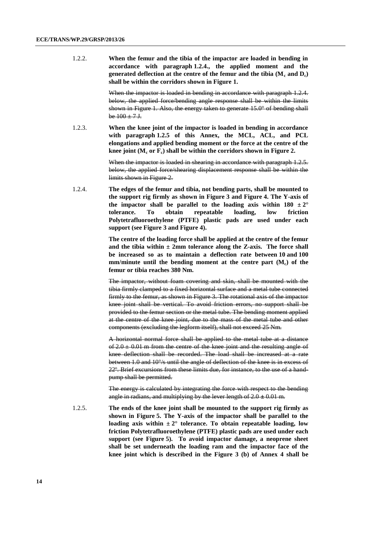1.2.2. **When the femur and the tibia of the impactor are loaded in bending in accordance with paragraph 1.2.4., the applied moment and the generated deflection at the centre of the femur and the tibia (M<sup>c</sup> and Dc) shall be within the corridors shown in Figure 1.**

> When the impactor is loaded in bending in accordance with paragraph 1.2.4. below, the applied force/bending angle response shall be within the limits shown in Figure 1. Also, the energy taken to generate 15.0° of bending shall be  $100 \pm 7$  J.

1.2.3. **When the knee joint of the impactor is loaded in bending in accordance with paragraph 1.2.5 of this Annex, the MCL, ACL, and PCL elongations and applied bending moment or the force at the centre of the knee joint (M<sup>c</sup> or Fc) shall be within the corridors shown in Figure 2.**

> When the impactor is loaded in shearing in accordance with paragraph 1.2.5. below, the applied force/shearing displacement response shall be within the limits shown in Figure 2.

1.2.4. **The edges of the femur and tibia, not bending parts, shall be mounted to the support rig firmly as shown in Figure 3 and Figure 4. The Y-axis of the impactor shall be parallel to the loading axis within**  $180 \pm 2^{\circ}$ **tolerance. To obtain repeatable loading, low friction Polytetrafluoroethylene (PTFE) plastic pads are used under each support (see Figure 3 and Figure 4).**

> **The centre of the loading force shall be applied at the centre of the femur and the tibia within ± 2mm tolerance along the Z-axis. The force shall be increased so as to maintain a deflection rate between 10 and 100 mm/minute until the bending moment at the centre part (Mc) of the femur or tibia reaches 380 Nm.**

> The impactor, without foam covering and skin, shall be mounted with the tibia firmly clamped to a fixed horizontal surface and a metal tube connected firmly to the femur, as shown in Figure 3. The rotational axis of the impactor knee joint shall be vertical. To avoid friction errors, no support shall be provided to the femur section or the metal tube. The bending moment applied at the centre of the knee joint, due to the mass of the metal tube and other components (excluding the legform itself), shall not exceed 25 Nm.

> A horizontal normal force shall be applied to the metal tube at a distance of  $2.0 \pm 0.01$  m from the centre of the knee joint and the resulting angle of knee deflection shall be recorded. The load shall be increased at a rate between 1.0 and 10°/s until the angle of deflection of the knee is in excess of 22º. Brief excursions from these limits due, for instance, to the use of a handpump shall be permitted.

> The energy is calculated by integrating the force with respect to the bending angle in radians, and multiplying by the lever length of 2.0 **±** 0.01 m.

1.2.5. **The ends of the knee joint shall be mounted to the support rig firmly as shown in Figure 5. The Y-axis of the impactor shall be parallel to the**  loading axis within  $\pm 2^{\circ}$  tolerance. To obtain repeatable loading, low **friction Polytetrafluoroethylene (PTFE) plastic pads are used under each support (see Figure 5). To avoid impactor damage, a neoprene sheet shall be set underneath the loading ram and the impactor face of the knee joint which is described in the Figure 3 (b) of Annex 4 shall be**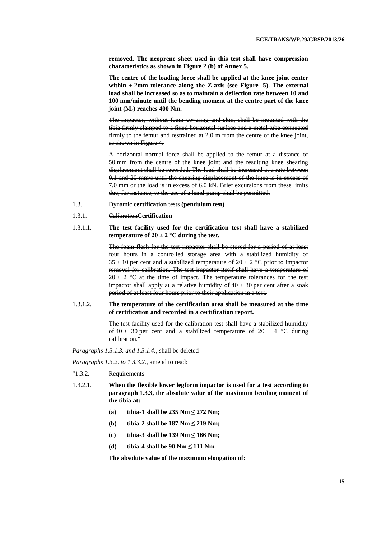**removed. The neoprene sheet used in this test shall have compression characteristics as shown in Figure 2 (b) of Annex 5.**

**The centre of the loading force shall be applied at the knee joint center within ± 2mm tolerance along the Z-axis (see Figure 5). The external load shall be increased so as to maintain a deflection rate between 10 and 100 mm/minute until the bending moment at the centre part of the knee joint (Mc) reaches 400 Nm.**

The impactor, without foam covering and skin, shall be mounted with the tibia firmly clamped to a fixed horizontal surface and a metal tube connected firmly to the femur and restrained at 2.0 m from the centre of the knee joint, as shown in Figure 4.

A horizontal normal force shall be applied to the femur at a distance of 50 mm from the centre of the knee joint and the resulting knee shearing displacement shall be recorded. The load shall be increased at a rate between 0.1 and 20 mm/s until the shearing displacement of the knee is in excess of 7.0 mm or the load is in excess of 6.0 kN. Brief excursions from these limits due, for instance, to the use of a hand-pump shall be permitted.

- 1.3. Dynamic **certification** tests **(pendulum test)**
- 1.3.1. Calibration**Certification**
- 1.3.1.1. **The test facility used for the certification test shall have a stabilized temperature of**  $20 \pm 2$  °C during the test.

The foam flesh for the test impactor shall be stored for a period of at least four hours in a controlled storage area with a stabilized humidity of  $35 \pm 10$  per cent and a stabilized temperature of  $20 \pm 2$  °C prior to impactor removal for calibration. The test impactor itself shall have a temperature of  $20 \pm 2$  °C at the time of impact. The temperature tolerances for the test impactor shall apply at a relative humidity of  $40 \pm 30$  per cent after a soak period of at least four hours prior to their application in a test.

1.3.1.2. **The temperature of the certification area shall be measured at the time of certification and recorded in a certification report.**

> The test facility used for the calibration test shall have a stabilized humidity of  $40 \pm 30$  per cent and a stabilized temperature of  $20 \pm 4$  °C during calibration."

*Paragraphs 1.3.1.3. and 1.3.1.4.*, shall be deleted

*Paragraphs 1.3.2. to 1.3.3.2.,* amend to read:

- "1.3.2. Requirements
- 1.3.2.1. **When the flexible lower legform impactor is used for a test according to paragraph 1.3.3, the absolute value of the maximum bending moment of the tibia at:**
	- **(a) tibia-1 shall be 235 Nm ≤ 272 Nm;**
	- **(b) tibia-2 shall be 187 Nm ≤ 219 Nm;**
	- **(c) tibia-3 shall be 139 Nm ≤ 166 Nm;**
	- **(d) tibia-4 shall be 90 Nm ≤ 111 Nm.**

**The absolute value of the maximum elongation of:**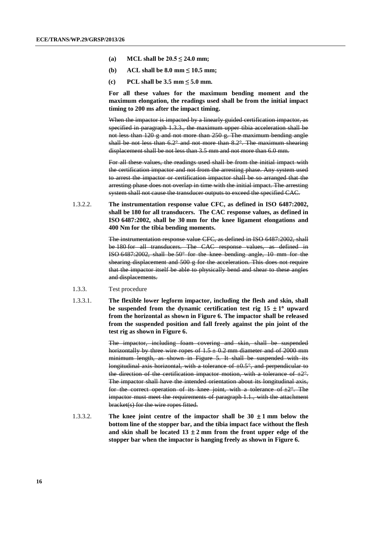- **(a) MCL** shall be  $20.5 \le 24.0$  mm;
- **(b) ACL shall be 8.0 mm ≤ 10.5 mm;**
- **(c) PCL shall be 3.5 mm ≤ 5.0 mm.**

**For all these values for the maximum bending moment and the maximum elongation, the readings used shall be from the initial impact timing to 200 ms after the impact timing.**

When the impactor is impacted by a linearly guided certification impactor, as specified in paragraph 1.3.3., the maximum upper tibia acceleration shall be not less than 120 g and not more than 250 g. The maximum bending angle shall be not less than  $6.2^{\circ}$  and not more than  $8.2^{\circ}$ . The maximum shearing displacement shall be not less than 3.5 mm and not more than 6.0 mm.

For all these values, the readings used shall be from the initial impact with the certification impactor and not from the arresting phase. Any system used to arrest the impactor or certification impactor shall be so arranged that the arresting phase does not overlap in time with the initial impact. The arresting system shall not cause the transducer outputs to exceed the specified CAC.

1.3.2.2. **The instrumentation response value CFC, as defined in ISO 6487:2002, shall be 180 for all transducers. The CAC response values, as defined in ISO 6487:2002, shall be 30 mm for the knee ligament elongations and 400 Nm for the tibia bending moments.**

> The instrumentation response value CFC, as defined in ISO 6487:2002, shall be 180 for all transducers. The CAC response values, as defined in ISO 6487:2002, shall be 50° for the knee bending angle, 10 mm for the shearing displacement and 500 g for the acceleration. This does not require that the impactor itself be able to physically bend and shear to these angles and displacements.

- 1.3.3. Test procedure
- 1.3.3.1. **The flexible lower legform impactor, including the flesh and skin, shall**  be suspended from the dynamic certification test rig  $15 \pm 1^\circ$  upward **from the horizontal as shown in Figure 6. The impactor shall be released from the suspended position and fall freely against the pin joint of the test rig as shown in Figure 6.**

The impactor, including foam covering and skin, shall be suspended horizontally by three wire ropes of  $1.5 \pm 0.2$  mm diameter and of 2000 mm minimum length, as shown in Figure 5. It shall be suspended with its longitudinal axis horizontal, with a tolerance of  $\pm 0.5^{\circ}$ , and perpendicular to the direction of the certification impactor motion, with a tolerance of  $\pm 2^{\circ}$ . The impactor shall have the intended orientation about its longitudinal axis, for the correct operation of its knee joint, with a tolerance of  $\pm 2^{\circ}$ . The impactor must meet the requirements of paragraph 1.1., with the attachment bracket(s) for the wire ropes fitted.

1.3.3.2. **The knee joint centre of the impactor shall be**  $30 \pm 1$  **mm below the bottom line of the stopper bar, and the tibia impact face without the flesh**  and skin shall be located  $13 \pm 2$  mm from the front upper edge of the **stopper bar when the impactor is hanging freely as shown in Figure 6.**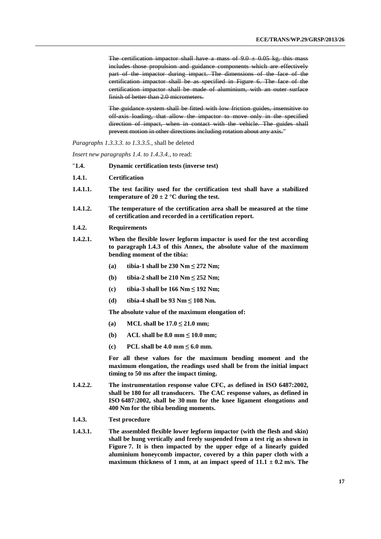The certification impactor shall have a mass of  $9.0 \pm 0.05$  kg, this mass includes those propulsion and guidance components which are effectively part of the impactor during impact. The dimensions of the face of the certification impactor shall be as specified in Figure 6. The face of the certification impactor shall be made of aluminium, with an outer surface finish of better than 2.0 micrometers.

The guidance system shall be fitted with low friction guides, insensitive to off-axis loading, that allow the impactor to move only in the specified direction of impact, when in contact with the vehicle. The guides shall prevent motion in other directions including rotation about any axis."

#### *Paragraphs 1.3.3.3. to 1.3.3.5.*, shall be deleted

*Insert new paragraphs 1.4. to 1.4.3.4.,* to read:

- "**1.4. Dynamic certification tests (inverse test)**
- **1.4.1. Certification**
- **1.4.1.1. The test facility used for the certification test shall have a stabilized temperature of**  $20 \pm 2$  °C during the test.
- **1.4.1.2. The temperature of the certification area shall be measured at the time of certification and recorded in a certification report.**
- **1.4.2. Requirements**
- **1.4.2.1. When the flexible lower legform impactor is used for the test according to paragraph 1.4.3 of this Annex, the absolute value of the maximum bending moment of the tibia:**
	- **(a) tibia-1 shall be 230 Nm ≤ 272 Nm;**
	- **(b) tibia-2 shall be 210 Nm ≤ 252 Nm;**
	- **(c) tibia-3 shall be 166 Nm ≤ 192 Nm;**
	- **(d) tibia-4 shall be 93 Nm ≤ 108 Nm.**

**The absolute value of the maximum elongation of:**

- (a) **MCL** shall be  $17.0 \le 21.0$  mm;
- (**b**) **ACL** shall be 8.0 mm  $\leq 10.0$  mm;
- **(c) PCL** shall be 4.0  $\text{mm} \leq 6.0 \text{mm}$ .

**For all these values for the maximum bending moment and the maximum elongation, the readings used shall be from the initial impact timing to 50 ms after the impact timing.**

- **1.4.2.2. The instrumentation response value CFC, as defined in ISO 6487:2002, shall be 180 for all transducers. The CAC response values, as defined in ISO 6487:2002, shall be 30 mm for the knee ligament elongations and 400 Nm for the tibia bending moments.**
- **1.4.3. Test procedure**
- **1.4.3.1. The assembled flexible lower legform impactor (with the flesh and skin) shall be hung vertically and freely suspended from a test rig as shown in Figure 7. It is then impacted by the upper edge of a linearly guided aluminium honeycomb impactor, covered by a thin paper cloth with a maximum thickness of 1 mm, at an impact speed of**  $11.1 \pm 0.2$  **m/s. The**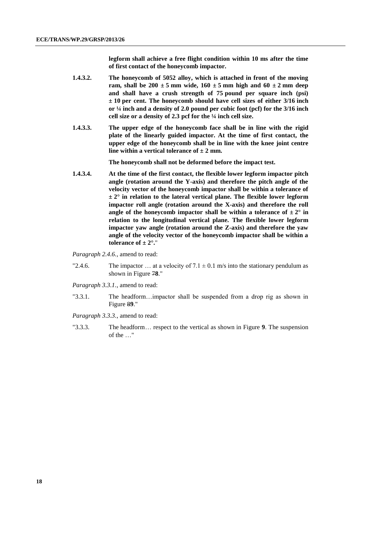**legform shall achieve a free flight condition within 10 ms after the time of first contact of the honeycomb impactor.**

- **1.4.3.2. The honeycomb of 5052 alloy, which is attached in front of the moving ram, shall be 200**  $\pm$  **5 mm wide, 160**  $\pm$  **5 mm high and 60**  $\pm$  **2 mm deep and shall have a crush strength of 75 pound per square inch (psi) ± 10 per cent. The honeycomb should have cell sizes of either 3/16 inch or ¼ inch and a density of 2.0 pound per cubic foot (pcf) for the 3/16 inch cell size or a density of 2.3 pcf for the ¼ inch cell size.**
- **1.4.3.3. The upper edge of the honeycomb face shall be in line with the rigid plate of the linearly guided impactor. At the time of first contact, the upper edge of the honeycomb shall be in line with the knee joint centre line within a vertical tolerance of**  $\pm 2$  **mm.**

**The honeycomb shall not be deformed before the impact test.**

**1.4.3.4. At the time of the first contact, the flexible lower legform impactor pitch angle (rotation around the Y-axis) and therefore the pitch angle of the velocity vector of the honeycomb impactor shall be within a tolerance of ± 2° in relation to the lateral vertical plane. The flexible lower legform impactor roll angle (rotation around the X-axis) and therefore the roll angle of the honeycomb impactor shall be within a tolerance of**  $\pm 2^{\circ}$  **in relation to the longitudinal vertical plane. The flexible lower legform impactor yaw angle (rotation around the Z-axis) and therefore the yaw angle of the velocity vector of the honeycomb impactor shall be within a tolerance of**  $\pm 2^\circ$ ."

*Paragraph 2.4.6.*, amend to read:

"2.4.6. The impactor ... at a velocity of  $7.1 \pm 0.1$  m/s into the stationary pendulum as shown in Figure 7**8**."

*Paragraph 3.3.1.*, amend to read:

"3.3.1. The headform…impactor shall be suspended from a drop rig as shown in Figure 8**9**."

*Paragraph 3.3.3.*, amend to read:

"3.3.3. The headform… respect to the vertical as shown in Figure **9**. The suspension of the …"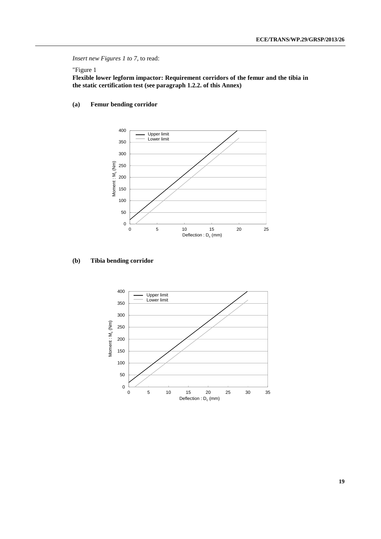#### *Insert new Figures 1 to 7*, to read:

### "Figure 1

**Flexible lower legform impactor: Requirement corridors of the femur and the tibia in the static certification test (see paragraph 1.2.2. of this Annex)**

### **(a) Femur bending corridor**



#### **(b) Tibia bending corridor**

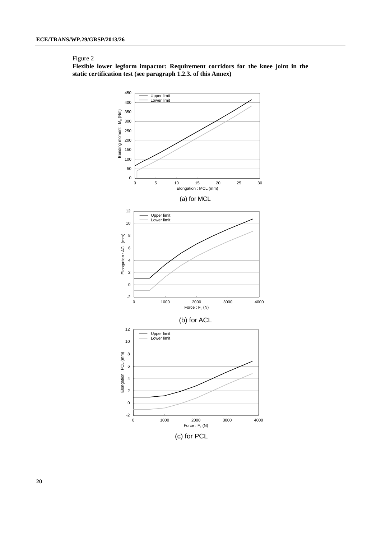**Flexible lower legform impactor: Requirement corridors for the knee joint in the static certification test (see paragraph 1.2.3. of this Annex)**



**20**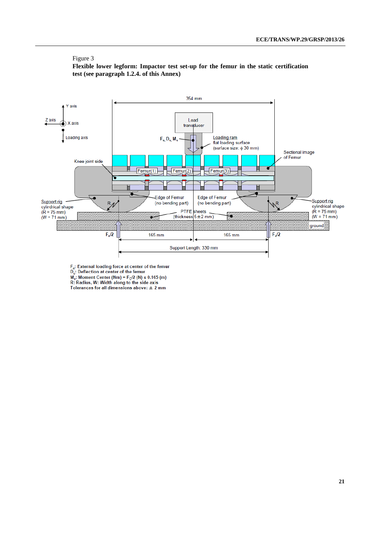**Flexible lower legform: Impactor test set-up for the femur in the static certification test (see paragraph 1.2.4. of this Annex)**



 $F_c$ : External loading force at center of the femur<br>D<sub>c</sub>: Deflection at center of the femur

 $M_c$ : Moment Center (Nm) = F<sub>c</sub>/2 (N) x 0.165 (m) R: Radius, W: Width along to the side axis

Tolerances for all dimensions above:  $\pm 2$  mm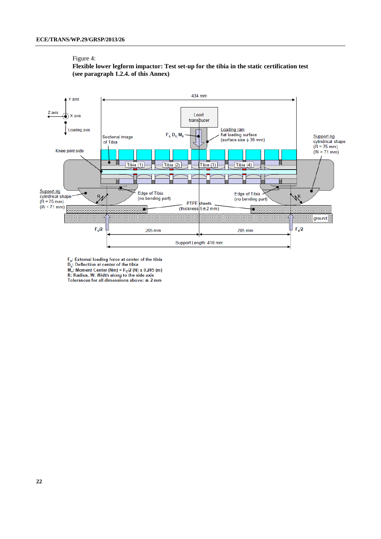#### Figure 4:

### **Flexible lower legform impactor: Test set-up for the tibia in the static certification test (see paragraph 1.2.4. of this Annex)**



 $F_c$ : External loading force at center of the tibia<br>D<sub>e</sub>: Deflection at center of the tibia<br>M<sub>e</sub>: Moment Center (Nm) =  $F_c/2$  (N) x 0.205 (m)<br>R: Radius, W: Width along to the side axis

Tolerances for all dimensions above:  $\pm 2$  mm

**22**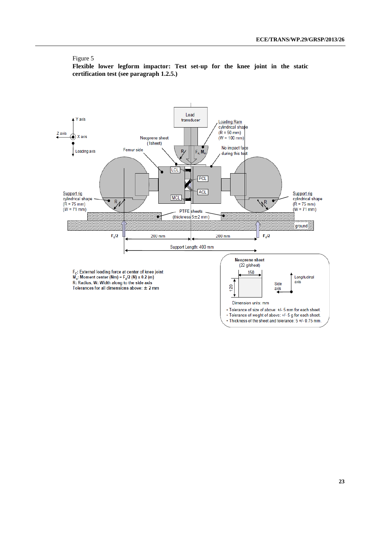**Flexible lower legform impactor: Test set-up for the knee joint in the static certification test (see paragraph 1.2.5.)**

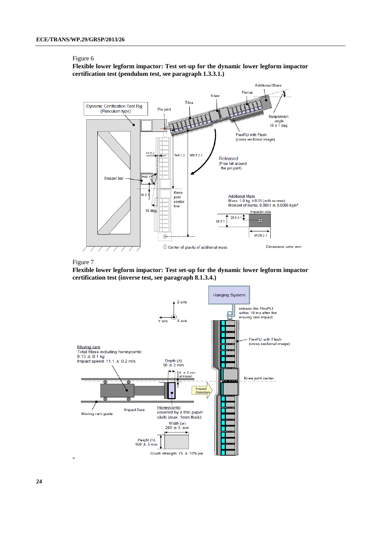**Flexible lower legform impactor: Test set-up for the dynamic lower legform impactor certification test (pendulum test, see paragraph 1.3.3.1.)**





**Flexible lower legform impactor: Test set-up for the dynamic lower legform impactor certification test (inverse test, see paragraph 8.1.3.4.)**



**24**